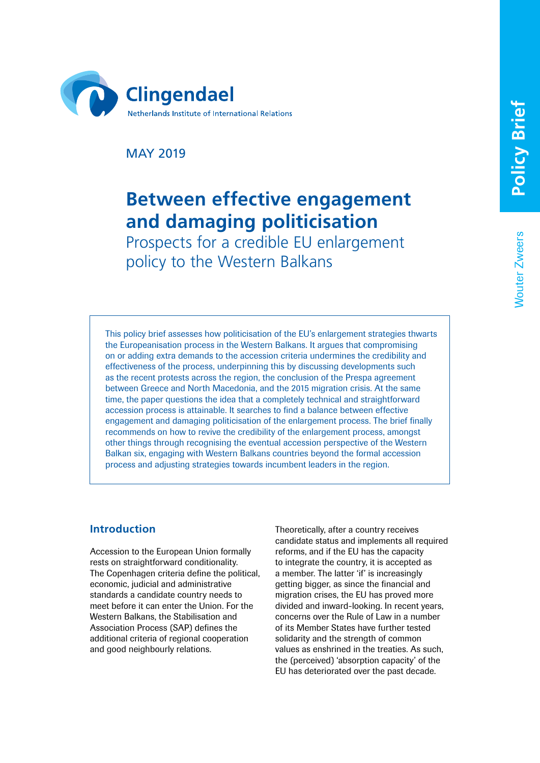Wouter Zweers

**Nouter Zweers** 



MAY 2019

# **Between effective engagement and damaging politicisation**

Prospects for a credible EU enlargement policy to the Western Balkans

This policy brief assesses how politicisation of the EU's enlargement strategies thwarts the Europeanisation process in the Western Balkans. It argues that compromising on or adding extra demands to the accession criteria undermines the credibility and effectiveness of the process, underpinning this by discussing developments such as the recent protests across the region, the conclusion of the Prespa agreement between Greece and North Macedonia, and the 2015 migration crisis. At the same time, the paper questions the idea that a completely technical and straightforward accession process is attainable. It searches to find a balance between effective engagement and damaging politicisation of the enlargement process. The brief finally recommends on how to revive the credibility of the enlargement process, amongst other things through recognising the eventual accession perspective of the Western Balkan six, engaging with Western Balkans countries beyond the formal accession process and adjusting strategies towards incumbent leaders in the region.

## **Introduction**

Accession to the European Union formally rests on straightforward conditionality. The Copenhagen criteria define the political, economic, judicial and administrative standards a candidate country needs to meet before it can enter the Union. For the Western Balkans, the Stabilisation and Association Process (SAP) defines the additional criteria of regional cooperation and good neighbourly relations.

Theoretically, after a country receives candidate status and implements all required reforms, and if the EU has the capacity to integrate the country, it is accepted as a member. The latter 'if' is increasingly getting bigger, as since the financial and migration crises, the EU has proved more divided and inward-looking. In recent years, concerns over the Rule of Law in a number of its Member States have further tested solidarity and the strength of common values as enshrined in the treaties. As such, the (perceived) 'absorption capacity' of the EU has deteriorated over the past decade.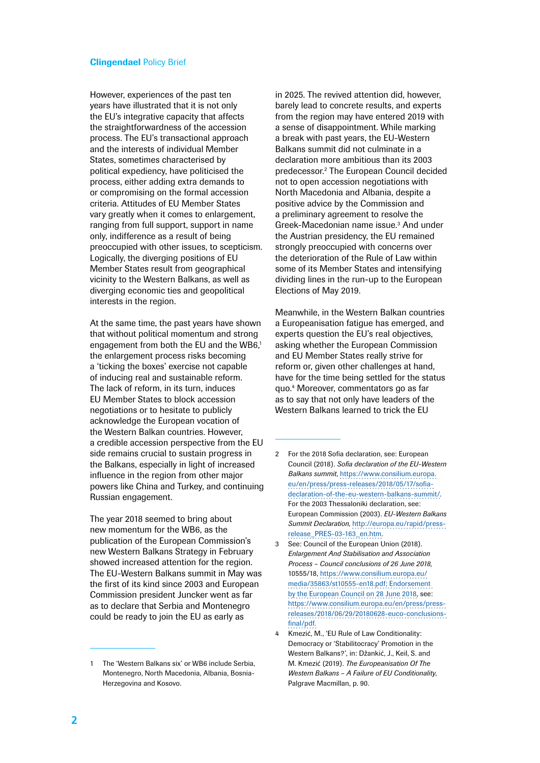However, experiences of the past ten years have illustrated that it is not only the EU's integrative capacity that affects the straightforwardness of the accession process. The EU's transactional approach and the interests of individual Member States, sometimes characterised by political expediency, have politicised the process, either adding extra demands to or compromising on the formal accession criteria. Attitudes of EU Member States vary greatly when it comes to enlargement, ranging from full support, support in name only, indifference as a result of being preoccupied with other issues, to scepticism. Logically, the diverging positions of EU Member States result from geographical vicinity to the Western Balkans, as well as diverging economic ties and geopolitical interests in the region.

At the same time, the past years have shown that without political momentum and strong engagement from both the EU and the WB6,<sup>1</sup> the enlargement process risks becoming a 'ticking the boxes' exercise not capable of inducing real and sustainable reform. The lack of reform, in its turn, induces EU Member States to block accession negotiations or to hesitate to publicly acknowledge the European vocation of the Western Balkan countries. However, a credible accession perspective from the EU side remains crucial to sustain progress in the Balkans, especially in light of increased influence in the region from other major powers like China and Turkey, and continuing Russian engagement.

The year 2018 seemed to bring about new momentum for the WB6, as the publication of the European Commission's new Western Balkans Strategy in February showed increased attention for the region. The EU-Western Balkans summit in May was the first of its kind since 2003 and European Commission president Juncker went as far as to declare that Serbia and Montenegro could be ready to join the EU as early as

in 2025. The revived attention did, however, barely lead to concrete results, and experts from the region may have entered 2019 with a sense of disappointment. While marking a break with past years, the EU-Western Balkans summit did not culminate in a declaration more ambitious than its 2003 predecessor.2 The European Council decided not to open accession negotiations with North Macedonia and Albania, despite a positive advice by the Commission and a preliminary agreement to resolve the Greek-Macedonian name issue.<sup>3</sup> And under the Austrian presidency, the EU remained strongly preoccupied with concerns over the deterioration of the Rule of Law within some of its Member States and intensifying dividing lines in the run-up to the European Elections of May 2019.

Meanwhile, in the Western Balkan countries a Europeanisation fatigue has emerged, and experts question the EU's real objectives, asking whether the European Commission and EU Member States really strive for reform or, given other challenges at hand, have for the time being settled for the status quo.4 Moreover, commentators go as far as to say that not only have leaders of the Western Balkans learned to trick the EU

<sup>1</sup> The 'Western Balkans six' or WB6 include Serbia, Montenegro, North Macedonia, Albania, Bosnia-Herzegovina and Kosovo.

<sup>2</sup> For the 2018 Sofia declaration, see: European Council (2018). *Sofia declaration of the EU-Western Balkans summit*, [https://www.consilium.europa.](https://www.consilium.europa.eu/en/press/press-releases/2018/05/17/sofia-declaration-of-the-eu-western-balkans-summit/) [eu/en/press/press-releases/2018/05/17/sofia](https://www.consilium.europa.eu/en/press/press-releases/2018/05/17/sofia-declaration-of-the-eu-western-balkans-summit/)[declaration-of-the-eu-western-balkans-summit/.](https://www.consilium.europa.eu/en/press/press-releases/2018/05/17/sofia-declaration-of-the-eu-western-balkans-summit/) For the 2003 Thessaloniki declaration, see: European Commission (2003). *EU-Western Balkans Summit Declaration*, [http://europa.eu/rapid/press](http://europa.eu/rapid/press-release_PRES-03-163_en.htm)[release\\_PRES-03-163\\_en.htm.](http://europa.eu/rapid/press-release_PRES-03-163_en.htm)

<sup>3</sup> See: Council of the European Union (2018). *Enlargement And Stabilisation and Association Process – Council conclusions of 26 June 2018,*  10555/18, [https://www.consilium.europa.eu/](https://www.consilium.europa.eu/media/35863/st10555-en18.pdf) [media/35863/st10555-en18.pdf](https://www.consilium.europa.eu/media/35863/st10555-en18.pdf); Endorsement by the European Council on 28 June 2018, see: https://www.consilium.europa.eu/en/press/pressreleases/2018/06/29/20180628-euco-conclusionsfinal/pdf.

Kmezić, M., 'EU Rule of Law Conditionality: Democracy or 'Stabilitocracy' Promotion in the Western Balkans?', in: Džankić, J., Keil, S. and M. Kmezić (2019). *The Europeanisation Of The Western Balkans – A Failure of EU Conditionality*, Palgrave Macmillan, p. 90.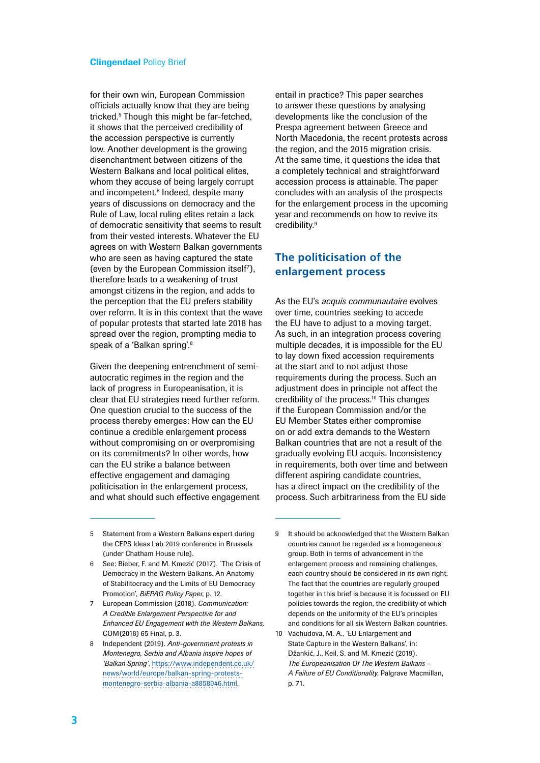for their own win, European Commission officials actually know that they are being tricked.5 Though this might be far-fetched, it shows that the perceived credibility of the accession perspective is currently low. Another development is the growing disenchantment between citizens of the Western Balkans and local political elites, whom they accuse of being largely corrupt and incompetent.<sup>6</sup> Indeed, despite many years of discussions on democracy and the Rule of Law, local ruling elites retain a lack of democratic sensitivity that seems to result from their vested interests. Whatever the EU agrees on with Western Balkan governments who are seen as having captured the state (even by the European Commission itself7 ), therefore leads to a weakening of trust amongst citizens in the region, and adds to the perception that the EU prefers stability over reform. It is in this context that the wave of popular protests that started late 2018 has spread over the region, prompting media to speak of a 'Balkan spring'.<sup>8</sup>

Given the deepening entrenchment of semiautocratic regimes in the region and the lack of progress in Europeanisation, it is clear that EU strategies need further reform. One question crucial to the success of the process thereby emerges: How can the EU continue a credible enlargement process without compromising on or overpromising on its commitments? In other words, how can the EU strike a balance between effective engagement and damaging politicisation in the enlargement process, and what should such effective engagement

entail in practice? This paper searches to answer these questions by analysing developments like the conclusion of the Prespa agreement between Greece and North Macedonia, the recent protests across the region, and the 2015 migration crisis. At the same time, it questions the idea that a completely technical and straightforward accession process is attainable. The paper concludes with an analysis of the prospects for the enlargement process in the upcoming year and recommends on how to revive its credibility.<sup>9</sup>

# **The politicisation of the enlargement process**

As the EU's *acquis communautaire* evolves over time, countries seeking to accede the EU have to adjust to a moving target. As such, in an integration process covering multiple decades, it is impossible for the EU to lay down fixed accession requirements at the start and to not adjust those requirements during the process. Such an adjustment does in principle not affect the credibility of the process.<sup>10</sup> This changes if the European Commission and/or the EU Member States either compromise on or add extra demands to the Western Balkan countries that are not a result of the gradually evolving EU acquis. Inconsistency in requirements, both over time and between different aspiring candidate countries, has a direct impact on the credibility of the process. Such arbitrariness from the EU side

<sup>5</sup> Statement from a Western Balkans expert during the CEPS Ideas Lab 2019 conference in Brussels (under Chatham House rule).

<sup>6</sup> See: Bieber, F. and M. Kmezić (2017). ´The Crisis of Democracy in the Western Balkans. An Anatomy of Stabilitocracy and the Limits of EU Democracy Promotion', *BiEPAG Policy Paper*, p. 12.

<sup>7</sup> European Commission (2018). *Communication: A Credible Enlargement Perspective for and Enhanced EU Engagement with the Western Balkans,*  COM(2018) 65 Final, p. 3.

<sup>8</sup> Independent (2019). *Anti-government protests in Montenegro, Serbia and Albania inspire hopes of 'Balkan Spring'*, [https://www.independent.co.uk/](https://www.independent.co.uk/news/world/europe/balkan-spring-protests-montenegro-serbia-albania-a8858046.html) [news/world/europe/balkan-spring-protests](https://www.independent.co.uk/news/world/europe/balkan-spring-protests-montenegro-serbia-albania-a8858046.html)[montenegro-serbia-albania-a8858046.html.](https://www.independent.co.uk/news/world/europe/balkan-spring-protests-montenegro-serbia-albania-a8858046.html)

<sup>9</sup> It should be acknowledged that the Western Balkan countries cannot be regarded as a homogeneous group. Both in terms of advancement in the enlargement process and remaining challenges, each country should be considered in its own right. The fact that the countries are regularly grouped together in this brief is because it is focussed on EU policies towards the region, the credibility of which depends on the uniformity of the EU's principles and conditions for all six Western Balkan countries.

<sup>10</sup> Vachudova, M. A., 'EU Enlargement and State Capture in the Western Balkans', in: Džankić, J., Keil, S. and M. Kmezić (2019). *The Europeanisation Of The Western Balkans – A Failure of EU Conditionality*, Palgrave Macmillan, p. 71.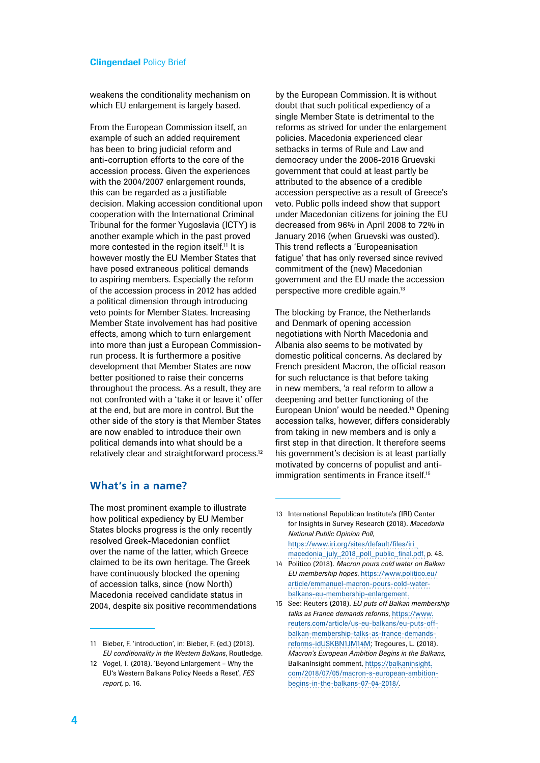weakens the conditionality mechanism on which EU enlargement is largely based.

From the European Commission itself, an example of such an added requirement has been to bring judicial reform and anti-corruption efforts to the core of the accession process. Given the experiences with the 2004/2007 enlargement rounds, this can be regarded as a justifiable decision. Making accession conditional upon cooperation with the International Criminal Tribunal for the former Yugoslavia (ICTY) is another example which in the past proved more contested in the region itself.<sup>11</sup> It is however mostly the EU Member States that have posed extraneous political demands to aspiring members. Especially the reform of the accession process in 2012 has added a political dimension through introducing veto points for Member States. Increasing Member State involvement has had positive effects, among which to turn enlargement into more than just a European Commissionrun process. It is furthermore a positive development that Member States are now better positioned to raise their concerns throughout the process. As a result, they are not confronted with a 'take it or leave it' offer at the end, but are more in control. But the other side of the story is that Member States are now enabled to introduce their own political demands into what should be a relatively clear and straightforward process.<sup>12</sup> by the European Commission. It is without doubt that such political expediency of a single Member State is detrimental to the reforms as strived for under the enlargement policies. Macedonia experienced clear setbacks in terms of Rule and Law and democracy under the 2006-2016 Gruevski government that could at least partly be attributed to the absence of a credible accession perspective as a result of Greece's veto. Public polls indeed show that support under Macedonian citizens for joining the EU decreased from 96% in April 2008 to 72% in January 2016 (when Gruevski was ousted). This trend reflects a 'Europeanisation fatigue' that has only reversed since revived commitment of the (new) Macedonian government and the EU made the accession perspective more credible again.13

The blocking by France, the Netherlands and Denmark of opening accession negotiations with North Macedonia and Albania also seems to be motivated by domestic political concerns. As declared by French president Macron, the official reason for such reluctance is that before taking in new members, 'a real reform to allow a deepening and better functioning of the European Union' would be needed.<sup>14</sup> Opening accession talks, however, differs considerably from taking in new members and is only a first step in that direction. It therefore seems his government's decision is at least partially motivated by concerns of populist and antiimmigration sentiments in France itself.<sup>15</sup>

## **What's in a name?**

The most prominent example to illustrate how political expediency by EU Member States blocks progress is the only recently resolved Greek-Macedonian conflict over the name of the latter, which Greece claimed to be its own heritage. The Greek have continuously blocked the opening of accession talks, since (now North) Macedonia received candidate status in 2004, despite six positive recommendations

- 13 International Republican Institute's (IRI) Center for Insights in Survey Research (2018). *Macedonia National Public Opinion Poll*, [https://www.iri.org/sites/default/files/iri\\_](https://www.iri.org/sites/default/files/iri_macedonia_july_2018_poll_public_final.pdf) [macedonia\\_july\\_2018\\_poll\\_public\\_final.pdf](https://www.iri.org/sites/default/files/iri_macedonia_july_2018_poll_public_final.pdf), p. 48.
- 14 Politico (2018). *Macron pours cold water on Balkan EU membership hopes*, [https://www.politico.eu/](https://www.politico.eu/article/emmanuel-macron-pours-cold-water-balkans-eu-membership-enlargement) [article/emmanuel-macron-pours-cold-water](https://www.politico.eu/article/emmanuel-macron-pours-cold-water-balkans-eu-membership-enlargement)[balkans-eu-membership-enlargement](https://www.politico.eu/article/emmanuel-macron-pours-cold-water-balkans-eu-membership-enlargement).
- 15 See: Reuters (2018). *EU puts off Balkan membership talks as France demands reforms*, [https://www.](https://www.reuters.com/article/us-eu-balkans/eu-puts-off-balkan-membership-talks-as-france-demands-reforms-idUSKBN1JM14M) [reuters.com/article/us-eu-balkans/eu-puts-off](https://www.reuters.com/article/us-eu-balkans/eu-puts-off-balkan-membership-talks-as-france-demands-reforms-idUSKBN1JM14M)[balkan-membership-talks-as-france-demands](https://www.reuters.com/article/us-eu-balkans/eu-puts-off-balkan-membership-talks-as-france-demands-reforms-idUSKBN1JM14M)[reforms-idUSKBN1JM14M;](https://www.reuters.com/article/us-eu-balkans/eu-puts-off-balkan-membership-talks-as-france-demands-reforms-idUSKBN1JM14M) Tregoures, L. (2018). *Macron's European Ambition Begins in the Balkans*, BalkanInsight comment, [https://balkaninsight.](https://balkaninsight.com/2018/07/05/macron-s-european-ambition-begins-in-the-balkans-07-04-2018/) [com/2018/07/05/macron-s-european-ambition](https://balkaninsight.com/2018/07/05/macron-s-european-ambition-begins-in-the-balkans-07-04-2018/)[begins-in-the-balkans-07-04-2018/.](https://balkaninsight.com/2018/07/05/macron-s-european-ambition-begins-in-the-balkans-07-04-2018/)

<sup>11</sup> Bieber, F. 'introduction', in: Bieber, F. (ed.) (2013). *EU conditionality in the Western Balkans*, Routledge.

<sup>12</sup> Vogel, T. (2018). 'Beyond Enlargement – Why the EU's Western Balkans Policy Needs a Reset', *FES report,* p. 16.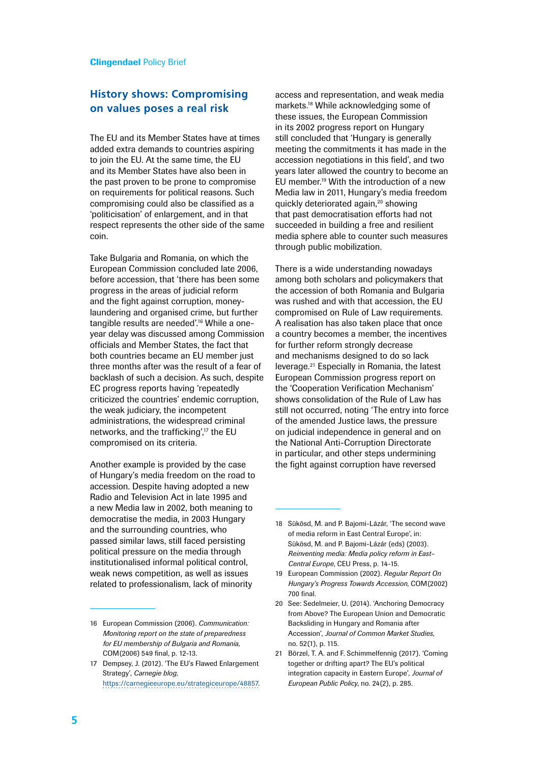## **History shows: Compromising on values poses a real risk**

The EU and its Member States have at times added extra demands to countries aspiring to join the EU. At the same time, the EU and its Member States have also been in the past proven to be prone to compromise on requirements for political reasons. Such compromising could also be classified as a 'politicisation' of enlargement, and in that respect represents the other side of the same coin.

Take Bulgaria and Romania, on which the European Commission concluded late 2006, before accession, that 'there has been some progress in the areas of judicial reform and the fight against corruption, moneylaundering and organised crime, but further tangible results are needed'.<sup>16</sup> While a oneyear delay was discussed among Commission officials and Member States, the fact that both countries became an EU member just three months after was the result of a fear of backlash of such a decision. As such, despite EC progress reports having 'repeatedly criticized the countries' endemic corruption, the weak judiciary, the incompetent administrations, the widespread criminal networks, and the trafficking'.<sup>17</sup> the EU compromised on its criteria.

Another example is provided by the case of Hungary's media freedom on the road to accession. Despite having adopted a new Radio and Television Act in late 1995 and a new Media law in 2002, both meaning to democratise the media, in 2003 Hungary and the surrounding countries, who passed similar laws, still faced persisting political pressure on the media through institutionalised informal political control, weak news competition, as well as issues related to professionalism, lack of minority

access and representation, and weak media markets.18 While acknowledging some of these issues, the European Commission in its 2002 progress report on Hungary still concluded that 'Hungary is generally meeting the commitments it has made in the accession negotiations in this field', and two years later allowed the country to become an EU member.<sup>19</sup> With the introduction of a new Media law in 2011, Hungary's media freedom quickly deteriorated again,<sup>20</sup> showing that past democratisation efforts had not succeeded in building a free and resilient media sphere able to counter such measures through public mobilization.

There is a wide understanding nowadays among both scholars and policymakers that the accession of both Romania and Bulgaria was rushed and with that accession, the EU compromised on Rule of Law requirements. A realisation has also taken place that once a country becomes a member, the incentives for further reform strongly decrease and mechanisms designed to do so lack leverage.21 Especially in Romania, the latest European Commission progress report on the 'Cooperation Verification Mechanism' shows consolidation of the Rule of Law has still not occurred, noting 'The entry into force of the amended Justice laws, the pressure on judicial independence in general and on the National Anti-Corruption Directorate in particular, and other steps undermining the fight against corruption have reversed

21 Börzel, T. A. and F. Schimmelfennig (2017). 'Coming together or drifting apart? The EU's political integration capacity in Eastern Europe', *Journal of European Public Policy*, no. 24(2), p. 285.

<sup>16</sup> European Commission (2006). *Communication: Monitoring report on the state of preparedness for EU membership of Bulgaria and Romania*, COM(2006) 549 final, p. 12-13.

<sup>17</sup> Dempsey, J. (2012). 'The EU's Flawed Enlargement Strategy', *Carnegie blog*, [https://carnegieeurope.eu/strategiceurope/48857.](https://carnegieeurope.eu/strategiceurope/48857)

<sup>18</sup> Sükösd, M. and P. Bajomi-Lázár, 'The second wave of media reform in East Central Europe', in: Sükösd, M. and P. Bajomi-Lázár (eds) (2003). *Reinventing media: Media policy reform in East– Central Europe*, CEU Press, p. 14-15.

<sup>19</sup> European Commission (2002). *Regular Report On Hungary's Progress Towards Accession*, COM(2002) 700 final.

<sup>20</sup> See: Sedelmeier, U. (2014). 'Anchoring Democracy from Above? The European Union and Democratic Backsliding in Hungary and Romania after Accession', *Journal of Common Market Studies*, no. 52(1), p. 115.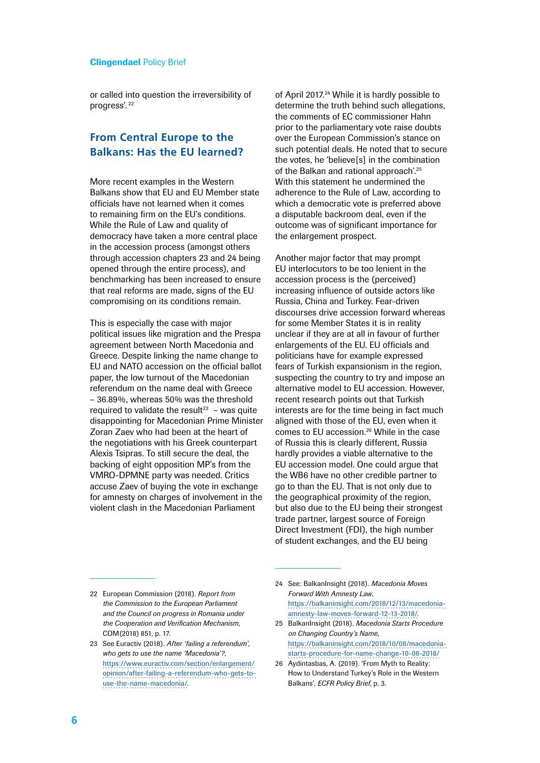or called into question the irreversibility of progress'. <sup>22</sup>

## **From Central Europe to the Balkans: Has the EU learned?**

More recent examples in the Western Balkans show that EU and EU Member state officials have not learned when it comes to remaining firm on the EU's conditions. While the Rule of Law and quality of democracy have taken a more central place in the accession process (amongst others through accession chapters 23 and 24 being opened through the entire process), and benchmarking has been increased to ensure that real reforms are made, signs of the EU compromising on its conditions remain.

This is especially the case with major political issues like migration and the Prespa agreement between North Macedonia and Greece. Despite linking the name change to EU and NATO accession on the official ballot paper, the low turnout of the Macedonian referendum on the name deal with Greece – 36.89%, whereas 50% was the threshold required to validate the result<sup>23</sup> – was quite disappointing for Macedonian Prime Minister Zoran Zaev who had been at the heart of the negotiations with his Greek counterpart Alexis Tsipras. To still secure the deal, the backing of eight opposition MP's from the VMRO-DPMNE party was needed. Critics accuse Zaev of buying the vote in exchange for amnesty on charges of involvement in the violent clash in the Macedonian Parliament

of April 2017.<sup>24</sup> While it is hardly possible to determine the truth behind such allegations, the comments of EC commissioner Hahn prior to the parliamentary vote raise doubts over the European Commission's stance on such potential deals. He noted that to secure the votes, he 'believe[s] in the combination of the Balkan and rational approach'.25 With this statement he undermined the adherence to the Rule of Law, according to which a democratic vote is preferred above a disputable backroom deal, even if the outcome was of significant importance for the enlargement prospect.

Another major factor that may prompt EU interlocutors to be too lenient in the accession process is the (perceived) increasing influence of outside actors like Russia, China and Turkey. Fear-driven discourses drive accession forward whereas for some Member States it is in reality unclear if they are at all in favour of further enlargements of the EU. EU officials and politicians have for example expressed fears of Turkish expansionism in the region, suspecting the country to try and impose an alternative model to EU accession. However, recent research points out that Turkish interests are for the time being in fact much aligned with those of the EU, even when it comes to EU accession.26 While in the case of Russia this is clearly different, Russia hardly provides a viable alternative to the EU accession model. One could argue that the WB6 have no other credible partner to go to than the EU. That is not only due to the geographical proximity of the region, but also due to the EU being their strongest trade partner, largest source of Foreign Direct Investment (FDI), the high number of student exchanges, and the EU being

<sup>22</sup> European Commission (2018). *Report from the Commission to the European Parliament and the Council on progress in Romania under the Cooperation and Verification Mechanism*, COM(2018) 851, p. 17.

<sup>23</sup> See Euractiv (2018). *After 'failing a referendum', who gets to use the name 'Macedonia'?*, [https://www.euractiv.com/section/enlargement/](https://www.euractiv.com/section/enlargement/opinion/after-failing-a-referendum-who-gets-to-use-the-name-macedonia/) [opinion/after-failing-a-referendum-who-gets-to](https://www.euractiv.com/section/enlargement/opinion/after-failing-a-referendum-who-gets-to-use-the-name-macedonia/)[use-the-name-macedonia/](https://www.euractiv.com/section/enlargement/opinion/after-failing-a-referendum-who-gets-to-use-the-name-macedonia/).

<sup>24</sup> See: BalkanInsight (2018). *Macedonia Moves Forward With Amnesty Law*, [https://balkaninsight.com/2018/12/13/macedonia](https://balkaninsight.com/2018/12/13/macedonia-amnesty-law-moves-forward-12-13-2018/)[amnesty-law-moves-forward-12-13-2018/](https://balkaninsight.com/2018/12/13/macedonia-amnesty-law-moves-forward-12-13-2018/).

<sup>25</sup> BalkanInsight (2018). *Macedonia Starts Procedure on Changing Country's Name*, [https://balkaninsight.com/2018/10/08/macedonia](https://balkaninsight.com/2018/10/08/macedonia-starts-procedure-for-name-change-10-08-2018/)[starts-procedure-for-name-change-10-08-2018/](https://balkaninsight.com/2018/10/08/macedonia-starts-procedure-for-name-change-10-08-2018/)

<sup>26</sup> Aydintasbas, A. (2019). 'From Myth to Reality: How to Understand Turkey's Role in the Western Balkans', *ECFR Policy Brief*, p. 3.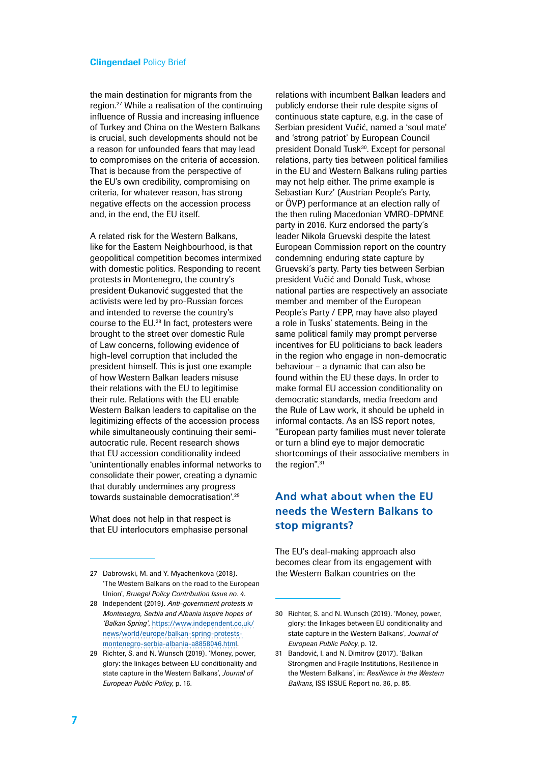the main destination for migrants from the region.27 While a realisation of the continuing influence of Russia and increasing influence of Turkey and China on the Western Balkans is crucial, such developments should not be a reason for unfounded fears that may lead to compromises on the criteria of accession. That is because from the perspective of the EU's own credibility, compromising on criteria, for whatever reason, has strong negative effects on the accession process and, in the end, the EU itself.

A related risk for the Western Balkans, like for the Eastern Neighbourhood, is that geopolitical competition becomes intermixed with domestic politics. Responding to recent protests in Montenegro, the country's president Đukanović suggested that the activists were led by pro-Russian forces and intended to reverse the country's course to the EU.28 In fact, protesters were brought to the street over domestic Rule of Law concerns, following evidence of high-level corruption that included the president himself. This is just one example of how Western Balkan leaders misuse their relations with the EU to legitimise their rule. Relations with the EU enable Western Balkan leaders to capitalise on the legitimizing effects of the accession process while simultaneously continuing their semiautocratic rule. Recent research shows that EU accession conditionality indeed 'unintentionally enables informal networks to consolidate their power, creating a dynamic that durably undermines any progress towards sustainable democratisation'.<sup>29</sup>

What does not help in that respect is that EU interlocutors emphasise personal

relations with incumbent Balkan leaders and publicly endorse their rule despite signs of continuous state capture, e.g. in the case of Serbian president Vučić, named a 'soul mate' and 'strong patriot' by European Council president Donald Tusk<sup>30</sup>. Except for personal relations, party ties between political families in the EU and Western Balkans ruling parties may not help either. The prime example is Sebastian Kurz' (Austrian People's Party, or ÖVP) performance at an election rally of the then ruling Macedonian VMRO-DPMNE party in 2016. Kurz endorsed the party´s leader Nikola Gruevski despite the latest European Commission report on the country condemning enduring state capture by Gruevski´s party. Party ties between Serbian president Vučić and Donald Tusk, whose national parties are respectively an associate member and member of the European People´s Party / EPP, may have also played a role in Tusks' statements. Being in the same political family may prompt perverse incentives for EU politicians to back leaders in the region who engage in non-democratic behaviour – a dynamic that can also be found within the EU these days. In order to make formal EU accession conditionality on democratic standards, media freedom and the Rule of Law work, it should be upheld in informal contacts. As an ISS report notes, "European party families must never tolerate or turn a blind eye to major democratic shortcomings of their associative members in the region".<sup>31</sup>

# **And what about when the EU needs the Western Balkans to stop migrants?**

The EU's deal-making approach also becomes clear from its engagement with the Western Balkan countries on the

<sup>27</sup> Dabrowski, M. and Y. Myachenkova (2018). 'The Western Balkans on the road to the European Union', *Bruegel Policy Contribution Issue no. 4*.

<sup>28</sup> Independent (2019). *Anti-government protests in Montenegro, Serbia and Albania inspire hopes of 'Balkan Spring'*, [https://www.independent.co.uk/](https://www.independent.co.uk/news/world/europe/balkan-spring-protests-montenegro-serbia-albania-a8858046.html) [news/world/europe/balkan-spring-protests](https://www.independent.co.uk/news/world/europe/balkan-spring-protests-montenegro-serbia-albania-a8858046.html)[montenegro-serbia-albania-a8858046.html.](https://www.independent.co.uk/news/world/europe/balkan-spring-protests-montenegro-serbia-albania-a8858046.html)

<sup>29</sup> Richter, S. and N. Wunsch (2019). 'Money, power, glory: the linkages between EU conditionality and state capture in the Western Balkans', *Journal of European Public Policy*, p. 16.

<sup>30</sup> Richter, S. and N. Wunsch (2019). 'Money, power, glory: the linkages between EU conditionality and state capture in the Western Balkans', *Journal of European Public Policy*, p. 12.

<sup>31</sup> Bandović, I. and N. Dimitrov (2017). 'Balkan Strongmen and Fragile Institutions, Resilience in the Western Balkans', in: *Resilience in the Western Balkans,* ISS ISSUE Report no. 36, p. 85.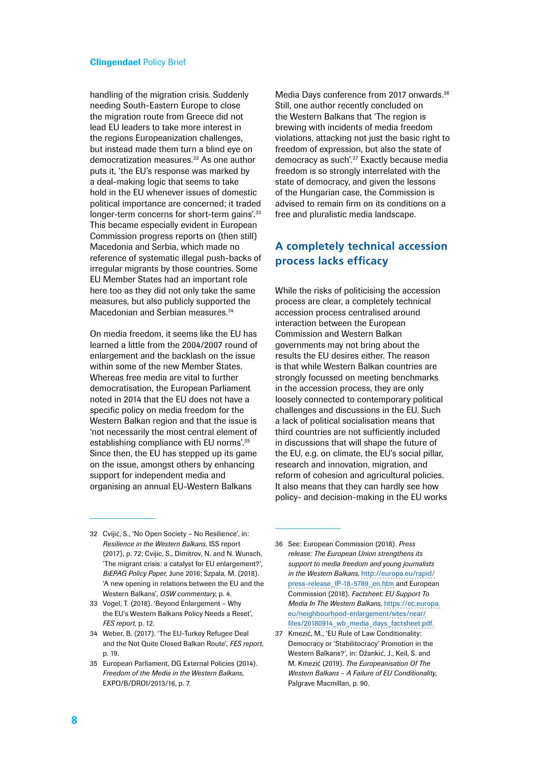handling of the migration crisis. Suddenly needing South-Eastern Europe to close the migration route from Greece did not lead EU leaders to take more interest in the regions Europeanization challenges, but instead made them turn a blind eye on democratization measures.32 As one author puts it, 'the EU's response was marked by a deal-making logic that seems to take hold in the EU whenever issues of domestic political importance are concerned; it traded longer-term concerns for short-term gains'.<sup>33</sup> This became especially evident in European Commission progress reports on (then still) Macedonia and Serbia, which made no reference of systematic illegal push-backs of irregular migrants by those countries. Some EU Member States had an important role here too as they did not only take the same measures, but also publicly supported the Macedonian and Serbian measures.<sup>34</sup>

On media freedom, it seems like the EU has learned a little from the 2004/2007 round of enlargement and the backlash on the issue within some of the new Member States. Whereas free media are vital to further democratisation, the European Parliament noted in 2014 that the EU does not have a specific policy on media freedom for the Western Balkan region and that the issue is 'not necessarily the most central element of establishing compliance with FU norms'.<sup>35</sup> Since then, the EU has stepped up its game on the issue, amongst others by enhancing support for independent media and organising an annual EU-Western Balkans

Media Days conference from 2017 onwards.<sup>36</sup> Still, one author recently concluded on the Western Balkans that 'The region is brewing with incidents of media freedom violations, attacking not just the basic right to freedom of expression, but also the state of democracy as such'.37 Exactly because media freedom is so strongly interrelated with the state of democracy, and given the lessons of the Hungarian case, the Commission is advised to remain firm on its conditions on a free and pluralistic media landscape.

# **A completely technical accession process lacks efficacy**

While the risks of politicising the accession process are clear, a completely technical accession process centralised around interaction between the European Commission and Western Balkan governments may not bring about the results the EU desires either. The reason is that while Western Balkan countries are strongly focussed on meeting benchmarks in the accession process, they are only loosely connected to contemporary political challenges and discussions in the EU. Such a lack of political socialisation means that third countries are not sufficiently included in discussions that will shape the future of the EU, e.g. on climate, the EU's social pillar, research and innovation, migration, and reform of cohesion and agricultural policies. It also means that they can hardly see how policy- and decision-making in the EU works

<sup>32</sup> Cvijić, S., 'No Open Society – No Resilience', in: *Resilience in the Western Balkans*, ISS report (2017), p. 72; Cvijic, S., Dimitrov, N. and N. Wunsch, 'The migrant crisis: a catalyst for EU enlargement?', *BiEPAG Policy Paper*, June 2016; Szpala, M. (2018). 'A new opening in relations between the EU and the Western Balkans', *OSW commentary*, p. 4.

<sup>33</sup> Vogel, T. (2018). 'Beyond Enlargement – Why the EU's Western Balkans Policy Needs a Reset', *FES report,* p. 12.

<sup>34</sup> Weber, B. (2017). 'The EU-Turkey Refugee Deal and the Not Quite Closed Balkan Route', *FES report*, p. 19.

<sup>35</sup> European Parliament, DG External Policies (2014). *Freedom of the Media in the Western Balkans*, EXPO/B/DROI/2013/16, p. 7.

<sup>36</sup> See: European Commission (2018). *Press release: The European Union strengthens its support to media freedom and young journalists in the Western Balkans*, [http://europa.eu/rapid/](http://europa.eu/rapid/press-release_IP-18-5789_en.htm) [press-release\\_IP-18-5789\\_en.htm](http://europa.eu/rapid/press-release_IP-18-5789_en.htm) and European Commission (2018). *Factsheet: EU Support To Media In The Western Balkans,* https://ec.europa. eu/neighbourhood-enlargement/sites/near/ files/20180914\_wb\_media\_days\_factsheet.pdf.

<sup>37</sup> Kmezić, M., 'EU Rule of Law Conditionality: Democracy or 'Stabilitocracy' Promotion in the Western Balkans?', in: Džankić, J., Keil, S. and M. Kmezić (2019). *The Europeanisation Of The Western Balkans – A Failure of EU Conditionality*, Palgrave Macmillan, p. 90.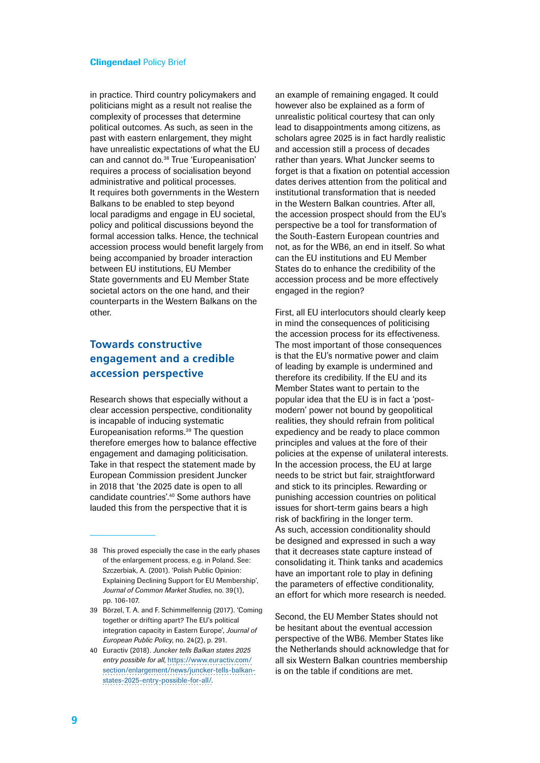in practice. Third country policymakers and politicians might as a result not realise the complexity of processes that determine political outcomes. As such, as seen in the past with eastern enlargement, they might have unrealistic expectations of what the EU can and cannot do.<sup>38</sup> True 'Europeanisation' requires a process of socialisation beyond administrative and political processes. It requires both governments in the Western Balkans to be enabled to step beyond local paradigms and engage in EU societal, policy and political discussions beyond the formal accession talks. Hence, the technical accession process would benefit largely from being accompanied by broader interaction between EU institutions, EU Member State governments and EU Member State societal actors on the one hand, and their counterparts in the Western Balkans on the other.

# **Towards constructive engagement and a credible accession perspective**

Research shows that especially without a clear accession perspective, conditionality is incapable of inducing systematic Europeanisation reforms.<sup>39</sup> The question therefore emerges how to balance effective engagement and damaging politicisation. Take in that respect the statement made by European Commission president Juncker in 2018 that 'the 2025 date is open to all candidate countries'.40 Some authors have lauded this from the perspective that it is

an example of remaining engaged. It could however also be explained as a form of unrealistic political courtesy that can only lead to disappointments among citizens, as scholars agree 2025 is in fact hardly realistic and accession still a process of decades rather than years. What Juncker seems to forget is that a fixation on potential accession dates derives attention from the political and institutional transformation that is needed in the Western Balkan countries. After all, the accession prospect should from the EU's perspective be a tool for transformation of the South-Eastern European countries and not, as for the WB6, an end in itself. So what can the EU institutions and EU Member States do to enhance the credibility of the accession process and be more effectively engaged in the region?

First, all EU interlocutors should clearly keep in mind the consequences of politicising the accession process for its effectiveness. The most important of those consequences is that the EU's normative power and claim of leading by example is undermined and therefore its credibility. If the EU and its Member States want to pertain to the popular idea that the EU is in fact a 'postmodern' power not bound by geopolitical realities, they should refrain from political expediency and be ready to place common principles and values at the fore of their policies at the expense of unilateral interests. In the accession process, the EU at large needs to be strict but fair, straightforward and stick to its principles. Rewarding or punishing accession countries on political issues for short-term gains bears a high risk of backfiring in the longer term. As such, accession conditionality should be designed and expressed in such a way that it decreases state capture instead of consolidating it. Think tanks and academics have an important role to play in defining the parameters of effective conditionality, an effort for which more research is needed.

Second, the EU Member States should not be hesitant about the eventual accession perspective of the WB6. Member States like the Netherlands should acknowledge that for all six Western Balkan countries membership is on the table if conditions are met.

<sup>38</sup> This proved especially the case in the early phases of the enlargement process, e.g. in Poland. See: Szczerbiak, A. (2001). 'Polish Public Opinion: Explaining Declining Support for EU Membership', *Journal of Common Market Studies*, no. 39(1), pp. 106-107.

<sup>39</sup> Börzel, T. A. and F. Schimmelfennig (2017). 'Coming together or drifting apart? The EU's political integration capacity in Eastern Europe', *Journal of European Public Policy*, no. 24(2), p. 291.

<sup>40</sup> Euractiv (2018). *Juncker tells Balkan states 2025 entry possible for all*, [https://www.euractiv.com/](https://www.euractiv.com/section/enlargement/news/juncker-tells-balkan-states-2025-entry-possible-for-all/) [section/enlargement/news/juncker-tells-balkan](https://www.euractiv.com/section/enlargement/news/juncker-tells-balkan-states-2025-entry-possible-for-all/)[states-2025-entry-possible-for-all/](https://www.euractiv.com/section/enlargement/news/juncker-tells-balkan-states-2025-entry-possible-for-all/).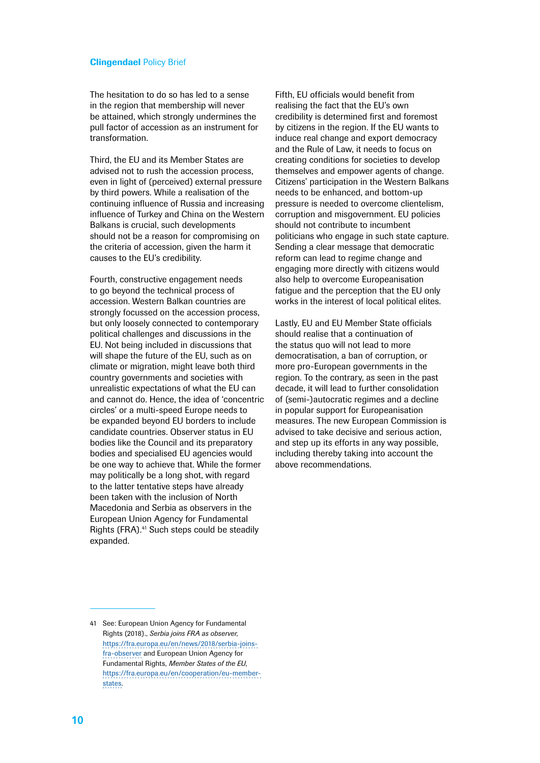The hesitation to do so has led to a sense in the region that membership will never be attained, which strongly undermines the pull factor of accession as an instrument for transformation.

Third, the EU and its Member States are advised not to rush the accession process, even in light of (perceived) external pressure by third powers. While a realisation of the continuing influence of Russia and increasing influence of Turkey and China on the Western Balkans is crucial, such developments should not be a reason for compromising on the criteria of accession, given the harm it causes to the EU's credibility.

Fourth, constructive engagement needs to go beyond the technical process of accession. Western Balkan countries are strongly focussed on the accession process, but only loosely connected to contemporary political challenges and discussions in the EU. Not being included in discussions that will shape the future of the EU, such as on climate or migration, might leave both third country governments and societies with unrealistic expectations of what the EU can and cannot do. Hence, the idea of 'concentric circles' or a multi-speed Europe needs to be expanded beyond EU borders to include candidate countries. Observer status in EU bodies like the Council and its preparatory bodies and specialised EU agencies would be one way to achieve that. While the former may politically be a long shot, with regard to the latter tentative steps have already been taken with the inclusion of North Macedonia and Serbia as observers in the European Union Agency for Fundamental Rights (FRA).<sup>41</sup> Such steps could be steadily expanded.

Fifth, EU officials would benefit from realising the fact that the EU's own credibility is determined first and foremost by citizens in the region. If the EU wants to induce real change and export democracy and the Rule of Law, it needs to focus on creating conditions for societies to develop themselves and empower agents of change. Citizens' participation in the Western Balkans needs to be enhanced, and bottom-up pressure is needed to overcome clientelism, corruption and misgovernment. EU policies should not contribute to incumbent politicians who engage in such state capture. Sending a clear message that democratic reform can lead to regime change and engaging more directly with citizens would also help to overcome Europeanisation fatigue and the perception that the EU only works in the interest of local political elites.

Lastly, EU and EU Member State officials should realise that a continuation of the status quo will not lead to more democratisation, a ban of corruption, or more pro-European governments in the region. To the contrary, as seen in the past decade, it will lead to further consolidation of (semi-)autocratic regimes and a decline in popular support for Europeanisation measures. The new European Commission is advised to take decisive and serious action, and step up its efforts in any way possible, including thereby taking into account the above recommendations.

<sup>41</sup> See: European Union Agency for Fundamental Rights (2018)., *Serbia joins FRA as observer*, [https://fra.europa.eu/en/news/2018/serbia-joins](https://fra.europa.eu/en/news/2018/serbia-joins-fra-observer)[fra-observer](https://fra.europa.eu/en/news/2018/serbia-joins-fra-observer) and European Union Agency for Fundamental Rights, *Member States of the EU*, [https://fra.europa.eu/en/cooperation/eu-member](https://fra.europa.eu/en/cooperation/eu-member-states)[states](https://fra.europa.eu/en/cooperation/eu-member-states).